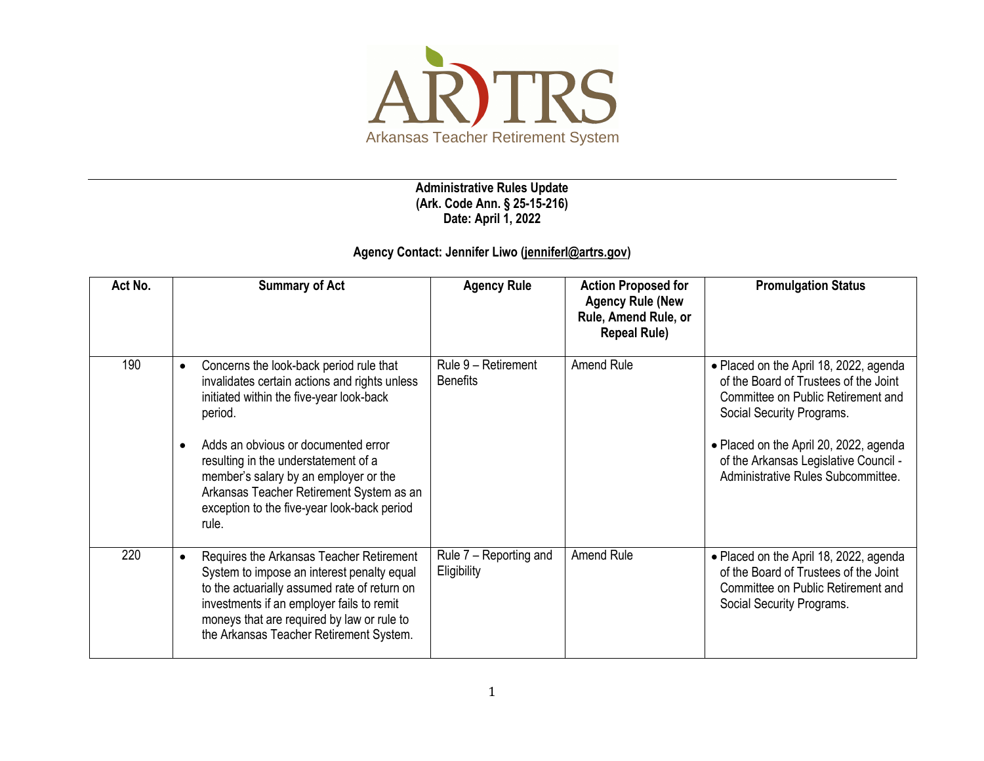

**Administrative Rules Update (Ark. Code Ann. § 25-15-216) Date: April 1, 2022**

## **Agency Contact: Jennifer Liwo [\(jenniferl@artrs.gov\)](mailto:jenniferl@artrs.gov)**

| Act No. | <b>Summary of Act</b>                                                                                                                                                                                                                                                                                                                                                                                 | <b>Agency Rule</b>                     | <b>Action Proposed for</b><br><b>Agency Rule (New</b><br>Rule, Amend Rule, or<br><b>Repeal Rule)</b> | <b>Promulgation Status</b>                                                                                                                                                                                                                                                  |
|---------|-------------------------------------------------------------------------------------------------------------------------------------------------------------------------------------------------------------------------------------------------------------------------------------------------------------------------------------------------------------------------------------------------------|----------------------------------------|------------------------------------------------------------------------------------------------------|-----------------------------------------------------------------------------------------------------------------------------------------------------------------------------------------------------------------------------------------------------------------------------|
| 190     | Concerns the look-back period rule that<br>$\bullet$<br>invalidates certain actions and rights unless<br>initiated within the five-year look-back<br>period.<br>Adds an obvious or documented error<br>$\bullet$<br>resulting in the understatement of a<br>member's salary by an employer or the<br>Arkansas Teacher Retirement System as an<br>exception to the five-year look-back period<br>rule. | Rule 9 - Retirement<br><b>Benefits</b> | Amend Rule                                                                                           | • Placed on the April 18, 2022, agenda<br>of the Board of Trustees of the Joint<br>Committee on Public Retirement and<br>Social Security Programs.<br>• Placed on the April 20, 2022, agenda<br>of the Arkansas Legislative Council -<br>Administrative Rules Subcommittee. |
| 220     | Requires the Arkansas Teacher Retirement<br>$\bullet$<br>System to impose an interest penalty equal<br>to the actuarially assumed rate of return on<br>investments if an employer fails to remit<br>moneys that are required by law or rule to<br>the Arkansas Teacher Retirement System.                                                                                                             | Rule 7 - Reporting and<br>Eligibility  | Amend Rule                                                                                           | • Placed on the April 18, 2022, agenda<br>of the Board of Trustees of the Joint<br>Committee on Public Retirement and<br>Social Security Programs.                                                                                                                          |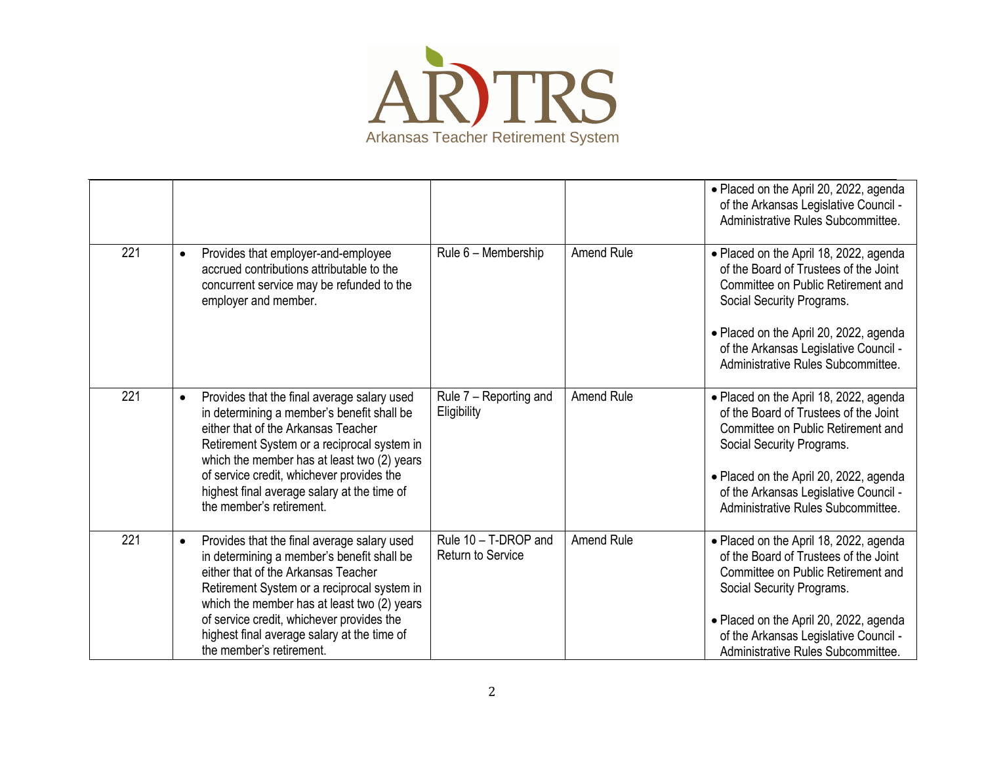

|     |           |                                                                                                                                                                                                                                                                                                                                                        |                                                  |                   | • Placed on the April 20, 2022, agenda<br>of the Arkansas Legislative Council -<br>Administrative Rules Subcommittee.                                                                                                                                                       |
|-----|-----------|--------------------------------------------------------------------------------------------------------------------------------------------------------------------------------------------------------------------------------------------------------------------------------------------------------------------------------------------------------|--------------------------------------------------|-------------------|-----------------------------------------------------------------------------------------------------------------------------------------------------------------------------------------------------------------------------------------------------------------------------|
| 221 | $\bullet$ | Provides that employer-and-employee<br>accrued contributions attributable to the<br>concurrent service may be refunded to the<br>employer and member.                                                                                                                                                                                                  | Rule 6 - Membership                              | <b>Amend Rule</b> | • Placed on the April 18, 2022, agenda<br>of the Board of Trustees of the Joint<br>Committee on Public Retirement and<br>Social Security Programs.<br>• Placed on the April 20, 2022, agenda<br>of the Arkansas Legislative Council -<br>Administrative Rules Subcommittee. |
| 221 | $\bullet$ | Provides that the final average salary used<br>in determining a member's benefit shall be<br>either that of the Arkansas Teacher<br>Retirement System or a reciprocal system in<br>which the member has at least two (2) years<br>of service credit, whichever provides the<br>highest final average salary at the time of<br>the member's retirement. | Rule 7 - Reporting and<br>Eligibility            | Amend Rule        | • Placed on the April 18, 2022, agenda<br>of the Board of Trustees of the Joint<br>Committee on Public Retirement and<br>Social Security Programs.<br>• Placed on the April 20, 2022, agenda<br>of the Arkansas Legislative Council -<br>Administrative Rules Subcommittee. |
| 221 | $\bullet$ | Provides that the final average salary used<br>in determining a member's benefit shall be<br>either that of the Arkansas Teacher<br>Retirement System or a reciprocal system in<br>which the member has at least two (2) years<br>of service credit, whichever provides the<br>highest final average salary at the time of<br>the member's retirement. | Rule 10 - T-DROP and<br><b>Return to Service</b> | <b>Amend Rule</b> | • Placed on the April 18, 2022, agenda<br>of the Board of Trustees of the Joint<br>Committee on Public Retirement and<br>Social Security Programs.<br>• Placed on the April 20, 2022, agenda<br>of the Arkansas Legislative Council -<br>Administrative Rules Subcommittee. |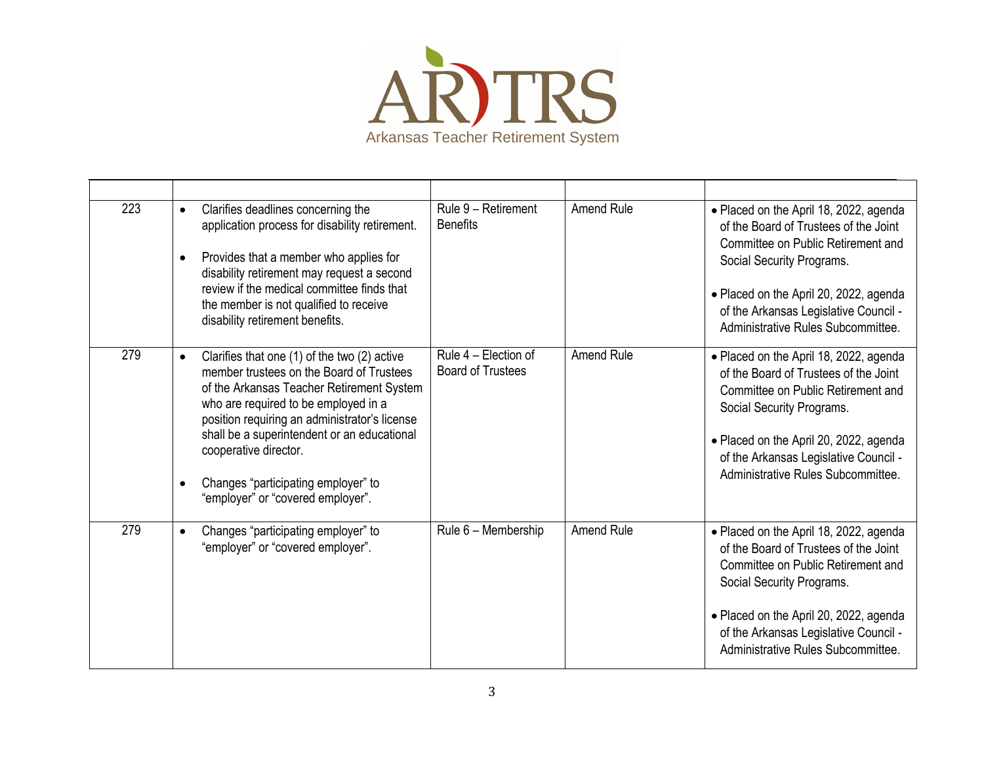

| 223 | Clarifies deadlines concerning the<br>$\bullet$<br>application process for disability retirement.<br>Provides that a member who applies for<br>$\bullet$<br>disability retirement may request a second<br>review if the medical committee finds that<br>the member is not qualified to receive<br>disability retirement benefits.                                                                            | Rule 9 - Retirement<br><b>Benefits</b>           | <b>Amend Rule</b> | • Placed on the April 18, 2022, agenda<br>of the Board of Trustees of the Joint<br>Committee on Public Retirement and<br>Social Security Programs.<br>• Placed on the April 20, 2022, agenda<br>of the Arkansas Legislative Council -<br>Administrative Rules Subcommittee. |
|-----|--------------------------------------------------------------------------------------------------------------------------------------------------------------------------------------------------------------------------------------------------------------------------------------------------------------------------------------------------------------------------------------------------------------|--------------------------------------------------|-------------------|-----------------------------------------------------------------------------------------------------------------------------------------------------------------------------------------------------------------------------------------------------------------------------|
| 279 | Clarifies that one (1) of the two (2) active<br>$\bullet$<br>member trustees on the Board of Trustees<br>of the Arkansas Teacher Retirement System<br>who are required to be employed in a<br>position requiring an administrator's license<br>shall be a superintendent or an educational<br>cooperative director.<br>Changes "participating employer" to<br>$\bullet$<br>"employer" or "covered employer". | Rule 4 - Election of<br><b>Board of Trustees</b> | <b>Amend Rule</b> | • Placed on the April 18, 2022, agenda<br>of the Board of Trustees of the Joint<br>Committee on Public Retirement and<br>Social Security Programs.<br>• Placed on the April 20, 2022, agenda<br>of the Arkansas Legislative Council -<br>Administrative Rules Subcommittee. |
| 279 | Changes "participating employer" to<br>$\bullet$<br>"employer" or "covered employer".                                                                                                                                                                                                                                                                                                                        | Rule 6 - Membership                              | <b>Amend Rule</b> | • Placed on the April 18, 2022, agenda<br>of the Board of Trustees of the Joint<br>Committee on Public Retirement and<br>Social Security Programs.<br>• Placed on the April 20, 2022, agenda<br>of the Arkansas Legislative Council -<br>Administrative Rules Subcommittee. |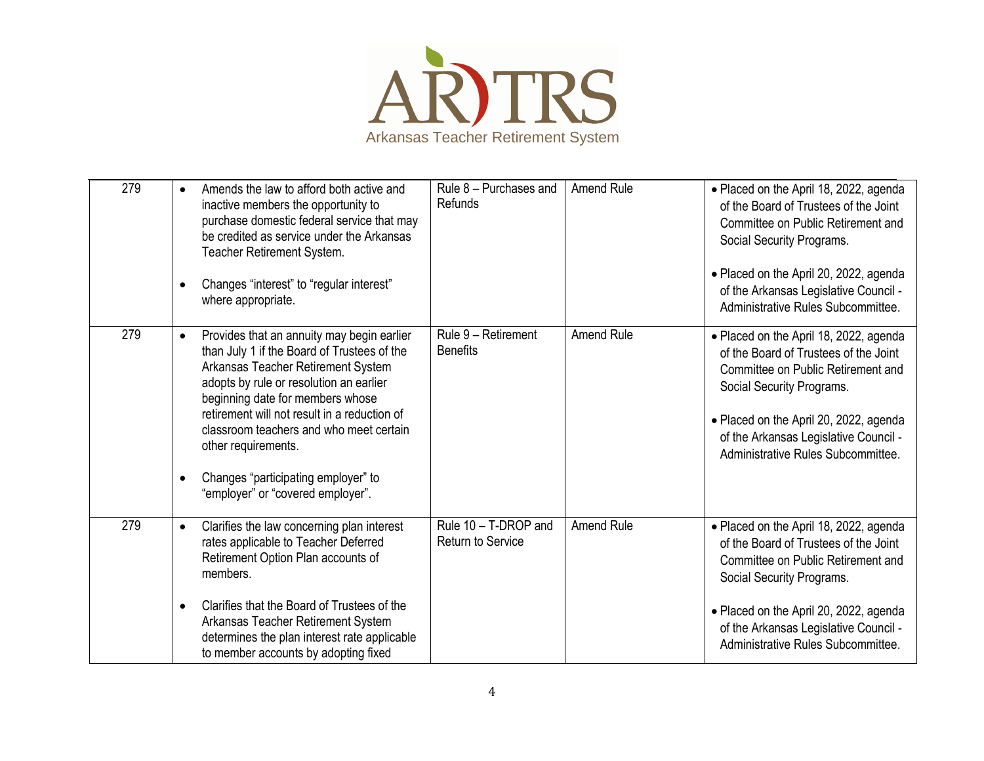

| 279 | Amends the law to afford both active and<br>inactive members the opportunity to<br>purchase domestic federal service that may<br>be credited as service under the Arkansas<br>Teacher Retirement System.<br>Changes "interest" to "regular interest"<br>where appropriate.                                                                                                                                                | Rule 8 - Purchases and<br><b>Refunds</b>         | Amend Rule        | • Placed on the April 18, 2022, agenda<br>of the Board of Trustees of the Joint<br>Committee on Public Retirement and<br>Social Security Programs.<br>• Placed on the April 20, 2022, agenda<br>of the Arkansas Legislative Council -<br>Administrative Rules Subcommittee. |
|-----|---------------------------------------------------------------------------------------------------------------------------------------------------------------------------------------------------------------------------------------------------------------------------------------------------------------------------------------------------------------------------------------------------------------------------|--------------------------------------------------|-------------------|-----------------------------------------------------------------------------------------------------------------------------------------------------------------------------------------------------------------------------------------------------------------------------|
| 279 | Provides that an annuity may begin earlier<br>$\bullet$<br>than July 1 if the Board of Trustees of the<br>Arkansas Teacher Retirement System<br>adopts by rule or resolution an earlier<br>beginning date for members whose<br>retirement will not result in a reduction of<br>classroom teachers and who meet certain<br>other requirements.<br>Changes "participating employer" to<br>"employer" or "covered employer". | Rule 9 - Retirement<br><b>Benefits</b>           | <b>Amend Rule</b> | • Placed on the April 18, 2022, agenda<br>of the Board of Trustees of the Joint<br>Committee on Public Retirement and<br>Social Security Programs.<br>• Placed on the April 20, 2022, agenda<br>of the Arkansas Legislative Council -<br>Administrative Rules Subcommittee. |
| 279 | Clarifies the law concerning plan interest<br>$\bullet$<br>rates applicable to Teacher Deferred<br>Retirement Option Plan accounts of<br>members.<br>Clarifies that the Board of Trustees of the<br>Arkansas Teacher Retirement System                                                                                                                                                                                    | Rule 10 - T-DROP and<br><b>Return to Service</b> | <b>Amend Rule</b> | • Placed on the April 18, 2022, agenda<br>of the Board of Trustees of the Joint<br>Committee on Public Retirement and<br>Social Security Programs.<br>• Placed on the April 20, 2022, agenda                                                                                |
|     | determines the plan interest rate applicable<br>to member accounts by adopting fixed                                                                                                                                                                                                                                                                                                                                      |                                                  |                   | of the Arkansas Legislative Council -<br>Administrative Rules Subcommittee.                                                                                                                                                                                                 |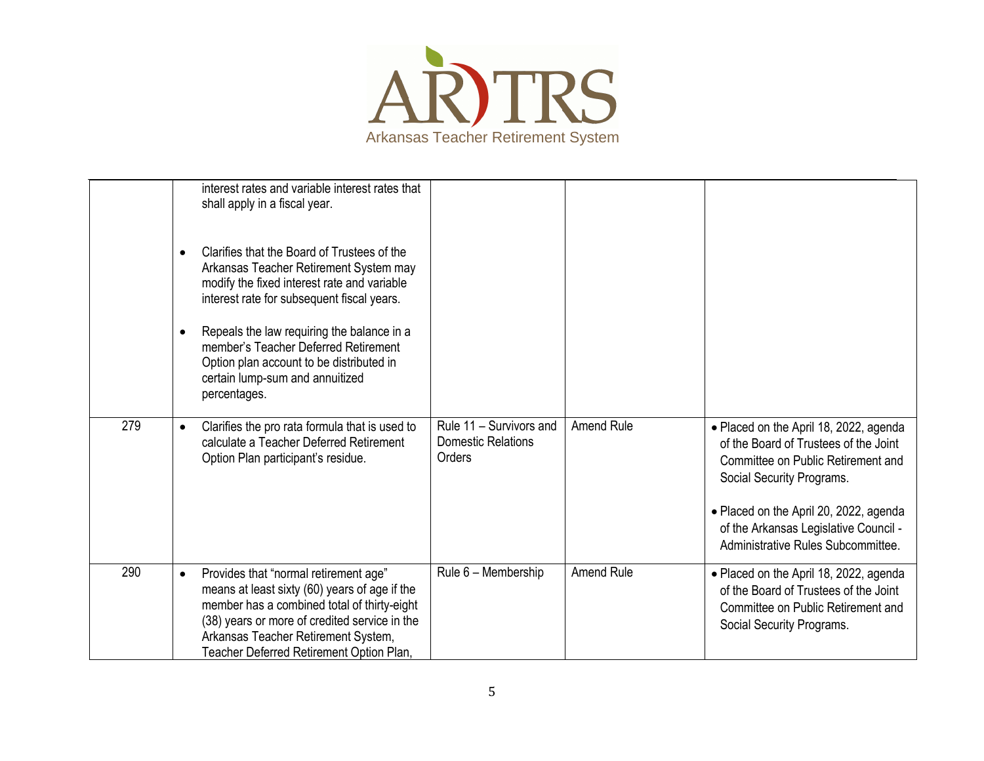

|     | $\bullet$<br>$\bullet$ | interest rates and variable interest rates that<br>shall apply in a fiscal year.<br>Clarifies that the Board of Trustees of the<br>Arkansas Teacher Retirement System may<br>modify the fixed interest rate and variable<br>interest rate for subsequent fiscal years.<br>Repeals the law requiring the balance in a<br>member's Teacher Deferred Retirement<br>Option plan account to be distributed in<br>certain lump-sum and annuitized<br>percentages. |                                                                |                   |                                                                                                                                                                                                                                                                             |
|-----|------------------------|-------------------------------------------------------------------------------------------------------------------------------------------------------------------------------------------------------------------------------------------------------------------------------------------------------------------------------------------------------------------------------------------------------------------------------------------------------------|----------------------------------------------------------------|-------------------|-----------------------------------------------------------------------------------------------------------------------------------------------------------------------------------------------------------------------------------------------------------------------------|
| 279 | $\bullet$              | Clarifies the pro rata formula that is used to<br>calculate a Teacher Deferred Retirement<br>Option Plan participant's residue.                                                                                                                                                                                                                                                                                                                             | Rule 11 - Survivors and<br><b>Domestic Relations</b><br>Orders | <b>Amend Rule</b> | • Placed on the April 18, 2022, agenda<br>of the Board of Trustees of the Joint<br>Committee on Public Retirement and<br>Social Security Programs.<br>• Placed on the April 20, 2022, agenda<br>of the Arkansas Legislative Council -<br>Administrative Rules Subcommittee. |
| 290 | $\bullet$              | Provides that "normal retirement age"<br>means at least sixty (60) years of age if the<br>member has a combined total of thirty-eight<br>(38) years or more of credited service in the<br>Arkansas Teacher Retirement System,<br>Teacher Deferred Retirement Option Plan,                                                                                                                                                                                   | Rule 6 - Membership                                            | <b>Amend Rule</b> | • Placed on the April 18, 2022, agenda<br>of the Board of Trustees of the Joint<br>Committee on Public Retirement and<br>Social Security Programs.                                                                                                                          |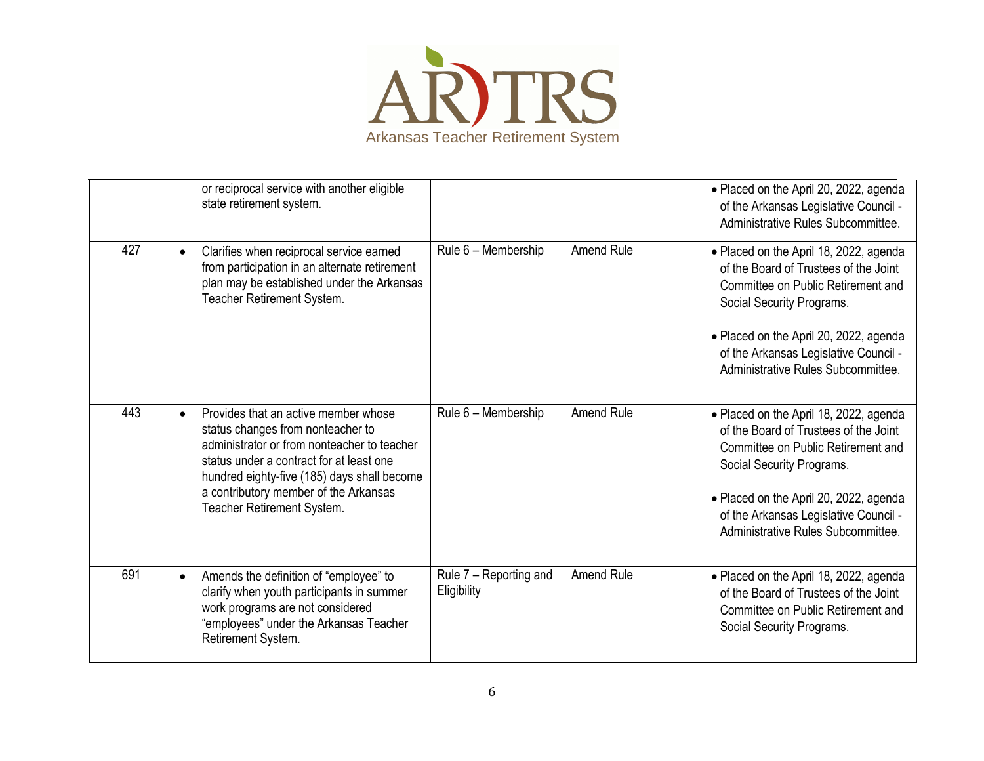

|     |           | or reciprocal service with another eligible<br>state retirement system.                                                                                                                                                                                                                    |                                       |                   | · Placed on the April 20, 2022, agenda<br>of the Arkansas Legislative Council -<br>Administrative Rules Subcommittee.                                                                                                                                                       |
|-----|-----------|--------------------------------------------------------------------------------------------------------------------------------------------------------------------------------------------------------------------------------------------------------------------------------------------|---------------------------------------|-------------------|-----------------------------------------------------------------------------------------------------------------------------------------------------------------------------------------------------------------------------------------------------------------------------|
| 427 | $\bullet$ | Clarifies when reciprocal service earned<br>from participation in an alternate retirement<br>plan may be established under the Arkansas<br>Teacher Retirement System.                                                                                                                      | Rule 6 - Membership                   | <b>Amend Rule</b> | • Placed on the April 18, 2022, agenda<br>of the Board of Trustees of the Joint<br>Committee on Public Retirement and<br>Social Security Programs.<br>• Placed on the April 20, 2022, agenda<br>of the Arkansas Legislative Council -<br>Administrative Rules Subcommittee. |
| 443 | $\bullet$ | Provides that an active member whose<br>status changes from nonteacher to<br>administrator or from nonteacher to teacher<br>status under a contract for at least one<br>hundred eighty-five (185) days shall become<br>a contributory member of the Arkansas<br>Teacher Retirement System. | Rule 6 - Membership                   | Amend Rule        | • Placed on the April 18, 2022, agenda<br>of the Board of Trustees of the Joint<br>Committee on Public Retirement and<br>Social Security Programs.<br>• Placed on the April 20, 2022, agenda<br>of the Arkansas Legislative Council -<br>Administrative Rules Subcommittee. |
| 691 | $\bullet$ | Amends the definition of "employee" to<br>clarify when youth participants in summer<br>work programs are not considered<br>"employees" under the Arkansas Teacher<br>Retirement System.                                                                                                    | Rule 7 - Reporting and<br>Eligibility | Amend Rule        | • Placed on the April 18, 2022, agenda<br>of the Board of Trustees of the Joint<br>Committee on Public Retirement and<br>Social Security Programs.                                                                                                                          |